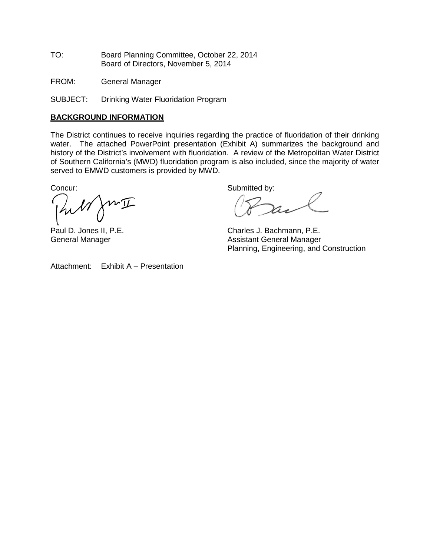TO: Board Planning Committee, October 22, 2014 Board of Directors, November 5, 2014

FROM: General Manager

SUBJECT: Drinking Water Fluoridation Program

#### **BACKGROUND INFORMATION**

The District continues to receive inquiries regarding the practice of fluoridation of their drinking water. The attached PowerPoint presentation (Exhibit A) summarizes the background and history of the District's involvement with fluoridation. A review of the Metropolitan Water District of Southern California's (MWD) fluoridation program is also included, since the majority of water served to EMWD customers is provided by MWD.

Concur: Submitted by:

 $w\underline{\mathbb{T}}$ hill

Paul D. Jones II, P.E.<br>
General Manager<br>
Charles J. Bachmann, P.E.<br>
Assistant General Manager Assistant General Manager Planning, Engineering, and Construction

Attachment: Exhibit A – Presentation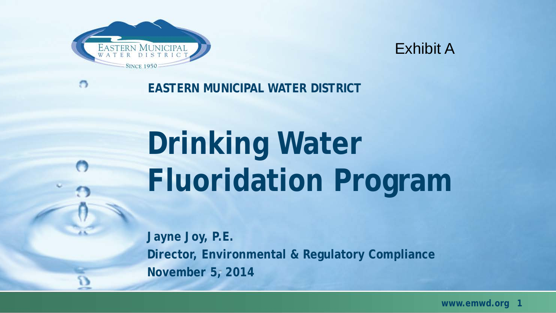



#### **EASTERN MUNICIPAL WATER DISTRICT**

# **Drinking Water Fluoridation Program**

**Jayne Joy, P.E. Director, Environmental & Regulatory Compliance November 5, 2014**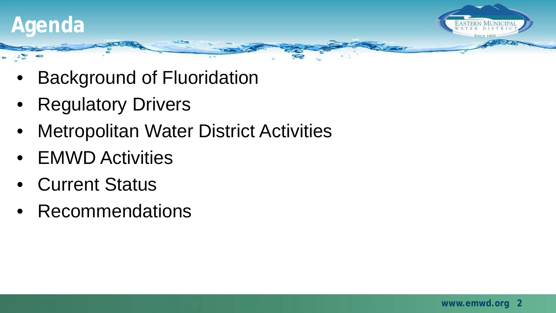

- Background of Fluoridation
- Regulatory Drivers
- Metropolitan Water District Activities
- EMWD Activities
- Current Status
- Recommendations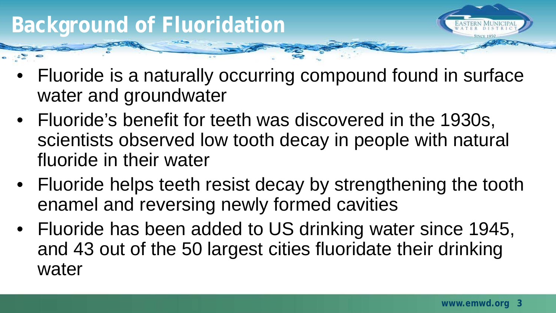## **Background of Fluoridation**

- 
- Fluoride is a naturally occurring compound found in surface water and groundwater
- Fluoride's benefit for teeth was discovered in the 1930s, scientists observed low tooth decay in people with natural fluoride in their water
- Fluoride helps teeth resist decay by strengthening the tooth enamel and reversing newly formed cavities
- Fluoride has been added to US drinking water since 1945, and 43 out of the 50 largest cities fluoridate their drinking water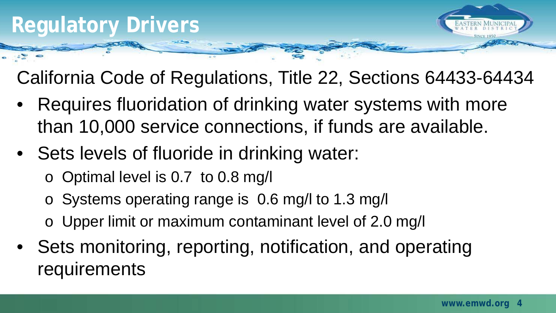

California Code of Regulations, Title 22, Sections 64433-64434

- Requires fluoridation of drinking water systems with more than 10,000 service connections, if funds are available.
- Sets levels of fluoride in drinking water:
	- o Optimal level is 0.7 to 0.8 mg/l
	- o Systems operating range is 0.6 mg/l to 1.3 mg/l
	- o Upper limit or maximum contaminant level of 2.0 mg/l
- Sets monitoring, reporting, notification, and operating requirements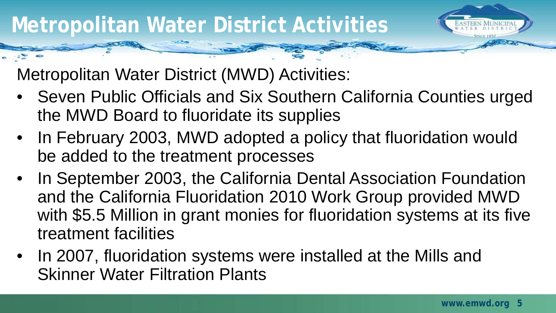Metropolitan Water District (MWD) Activities:

- Seven Public Officials and Six Southern California Counties urged the MWD Board to fluoridate its supplies
- In February 2003, MWD adopted a policy that fluoridation would be added to the treatment processes
- In September 2003, the California Dental Association Foundation and the California Fluoridation 2010 Work Group provided MWD with \$5.5 Million in grant monies for fluoridation systems at its five treatment facilities
- In 2007, fluoridation systems were installed at the Mills and Skinner Water Filtration Plants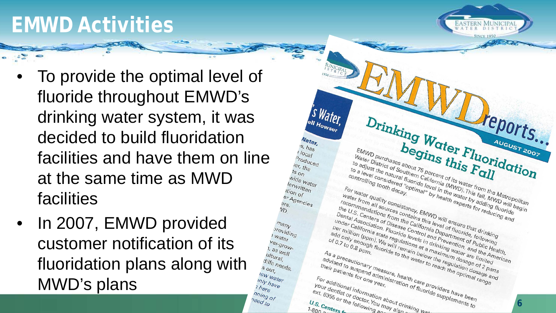## **EMWD Activities**



- To provide the optimal level of fluoride throughout EMWD's drinking water system, it was decided to build fluoridation facilities and have them on line at the same time as MWD facilities
- In 2007, EMWD provided customer notification of its fluoridation plans along with MWD's plans

 $s_{out}$ 

mly have

here

nning of need to

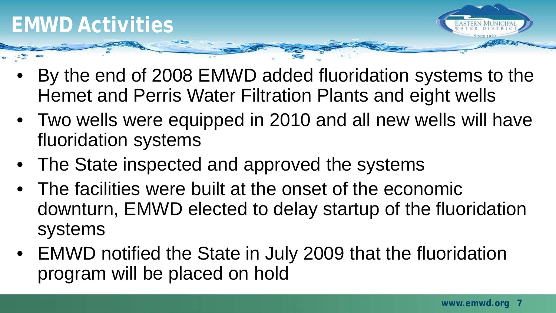

- By the end of 2008 EMWD added fluoridation systems to the Hemet and Perris Water Filtration Plants and eight wells
- Two wells were equipped in 2010 and all new wells will have fluoridation systems
- The State inspected and approved the systems
- The facilities were built at the onset of the economic downturn, EMWD elected to delay startup of the fluoridation systems
- EMWD notified the State in July 2009 that the fluoridation program will be placed on hold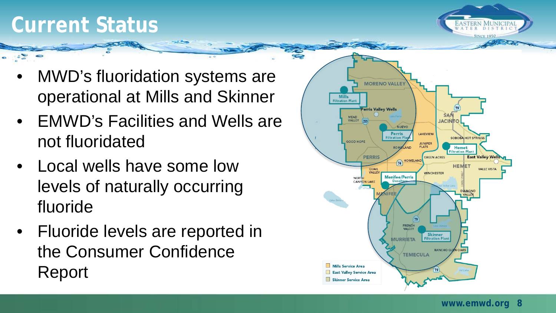#### **Current Status**



- MWD's fluoridation systems are operational at Mills and Skinner
- EMWD's Facilities and Wells are not fluoridated
- Local wells have some low levels of naturally occurring fluoride
- Fluoride levels are reported in the Consumer Confidence Report

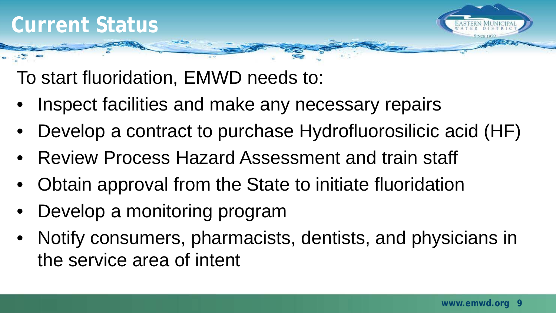

To start fluoridation, EMWD needs to:

- Inspect facilities and make any necessary repairs
- Develop a contract to purchase Hydrofluorosilicic acid (HF)
- Review Process Hazard Assessment and train staff
- Obtain approval from the State to initiate fluoridation
- Develop a monitoring program
- Notify consumers, pharmacists, dentists, and physicians in the service area of intent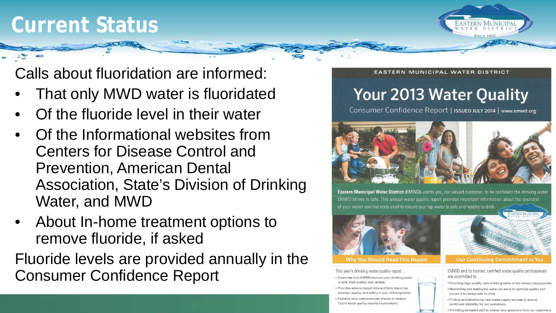## **Current Status**



Calls about fluoridation are informed:

- That only MWD water is fluoridated
- Of the fluoride level in their water
- Of the Informational websites from Centers for Disease Control and Prevention, American Dental Association, State's Division of Drinking Water, and MWD
- About In-home treatment options to remove fluoride, if asked

Fluoride levels are provided annually in the Consumer Confidence Report

**FASTERN MUNICIPAL WATER DISTRICT** 

#### **Your 2013 Water Quality**

Consumer Confidence Report | ISSUED JULY 2014 | www.emwd.org



Eastern Municipal Water District (EMWD) wants you, our valued customer, to be confident the drinking water EMWD serves is safe. This annual water quality report provides important information about the source(s) of your water and the tests used to ensure your tap water is safe and healthy to drink



#### **Why You Should Read This Report**

This year's drinking water quality report... · Examines how EMWD ensures your drinking water

is safe, high quality, and reliable · Provides science-based data and facts about the sources, quality, and safety of your drinking water

· Explains how customers can choose to receive future water quality reports electronically



**Our Continuing Commitment to You** 

EMWD and its trained, certified water quality professionals are committed to...

- . Providing high quality, safe drinking water at the lowest price possible
- . Monitoring and testing the water we serve to optimize quality and ensure it is always safe to drink
- Finding and developing new water supply sources to ensure<br>continued reliability for our customers<br>• Providing educated staff to answer any questions from our customers
-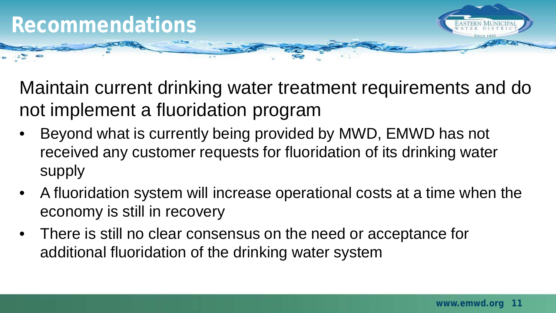

Maintain current drinking water treatment requirements and do not implement a fluoridation program

- Beyond what is currently being provided by MWD, EMWD has not received any customer requests for fluoridation of its drinking water supply
- A fluoridation system will increase operational costs at a time when the economy is still in recovery
- There is still no clear consensus on the need or acceptance for additional fluoridation of the drinking water system